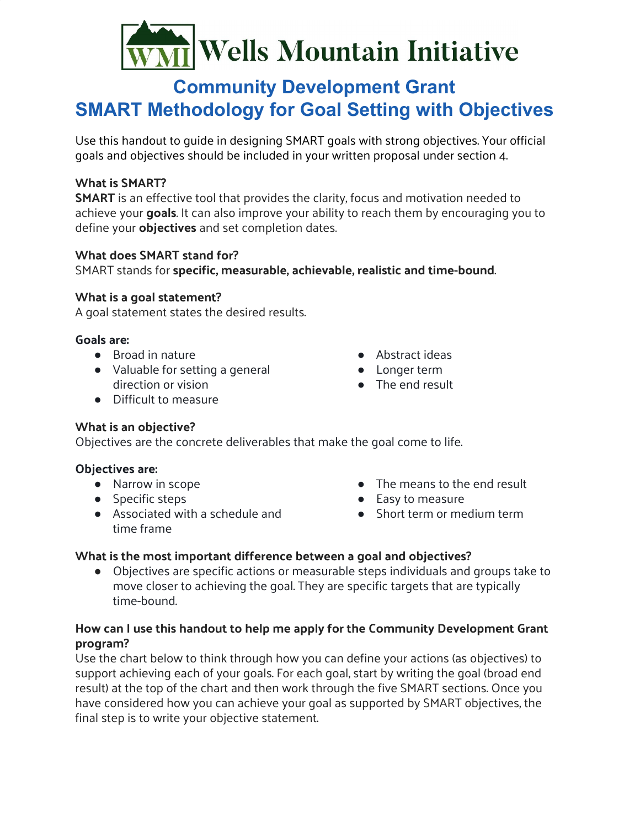# $\frac{1}{1}$ Wells Mountain Initiative

## **Community Development Grant SMART Methodology for Goal Setting with Objectives**

Use this handout to guide in designing SMART goals with strong objectives. Your official goals and objectives should be included in your written proposal under section 4.

### **What is SMART?**

**SMART** is an effective tool that provides the clarity, focus and motivation needed to achieve your **goals**. It can also improve your ability to reach them by encouraging you to define your **objectives** and set completion dates.

#### **What does SMART stand for?**

SMART stands for **specific, measurable, achievable, realistic and time-bound**.

#### **What is a goal statement?**

A goal statement states the desired results.

#### **Goals are:**

- Broad in nature
- Valuable for setting a general direction or vision
- Abstract ideas
- Longer term
- The end result

● Difficult to measure

#### **What is an objective?**

Objectives are the concrete deliverables that make the goal come to life.

#### **Objectives are:**

- Narrow in scope
- Specific steps
- Associated with a schedule and time frame
- The means to the end result
- Easy to measure
- Short term or medium term

#### **What is the most important difference between a goal and objectives?**

● Objectives are specific actions or measurable steps individuals and groups take to move closer to achieving the goal. They are specific targets that are typically time-bound.

#### **How can I use this handout to help me apply for the Community Development Grant program?**

Use the chart below to think through how you can define your actions (as objectives) to support achieving each of your goals. For each goal, start by writing the goal (broad end result) at the top of the chart and then work through the five SMART sections. Once you have considered how you can achieve your goal as supported by SMART objectives, the final step is to write your objective statement.